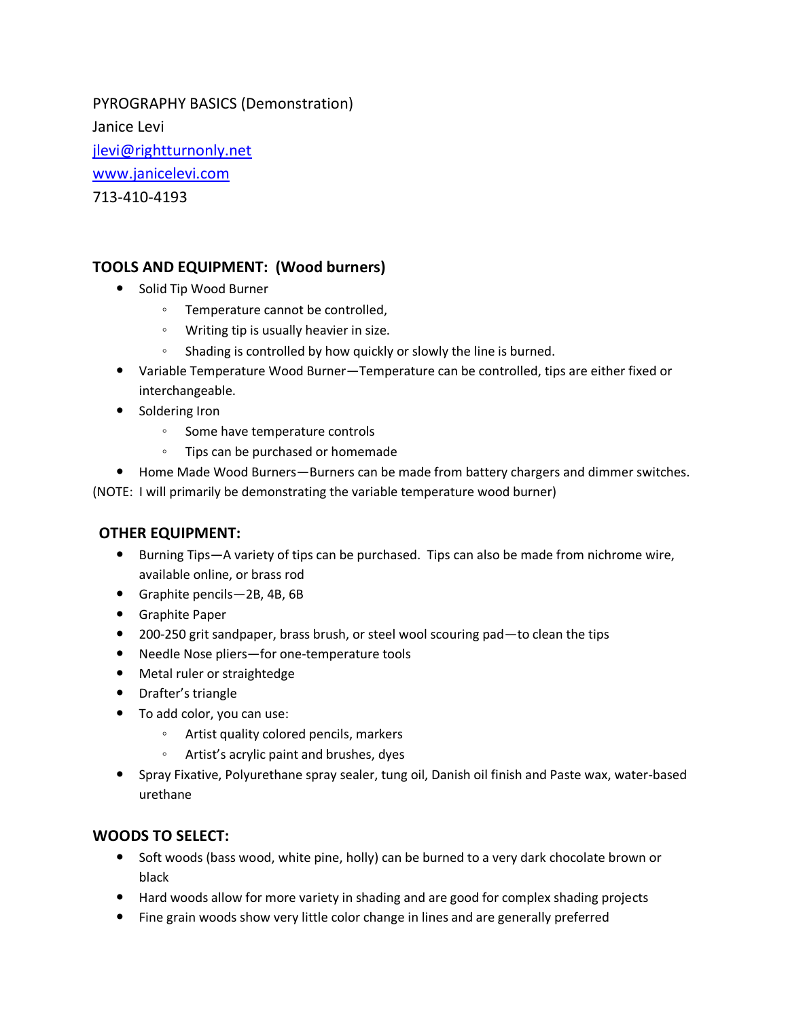PYROGRAPHY BASICS (Demonstration) Janice Levi [jlevi@rightturnonly.net](mailto:jlevi@rightturnonly.net) [www.janicelevi.com](http://www.janicelevi.com/) 713-410-4193

## **TOOLS AND EQUIPMENT: (Wood burners)**

- Solid Tip Wood Burner
	- Temperature cannot be controlled,
	- Writing tip is usually heavier in size.
	- Shading is controlled by how quickly or slowly the line is burned.
- Variable Temperature Wood Burner—Temperature can be controlled, tips are either fixed or interchangeable.
- Soldering Iron
	- Some have temperature controls
	- Tips can be purchased or homemade
- Home Made Wood Burners—Burners can be made from battery chargers and dimmer switches.

(NOTE: I will primarily be demonstrating the variable temperature wood burner)

#### **OTHER EQUIPMENT:**

- Burning Tips—A variety of tips can be purchased. Tips can also be made from nichrome wire, available online, or brass rod
- Graphite pencils—2B, 4B, 6B
- Graphite Paper
- 200-250 grit sandpaper, brass brush, or steel wool scouring pad—to clean the tips
- Needle Nose pliers—for one-temperature tools
- Metal ruler or straightedge
- Drafter's triangle
- To add color, you can use:
	- Artist quality colored pencils, markers
	- Artist's acrylic paint and brushes, dyes
- Spray Fixative, Polyurethane spray sealer, tung oil, Danish oil finish and Paste wax, water-based urethane

### **WOODS TO SELECT:**

- Soft woods (bass wood, white pine, holly) can be burned to a very dark chocolate brown or black
- Hard woods allow for more variety in shading and are good for complex shading projects
- Fine grain woods show very little color change in lines and are generally preferred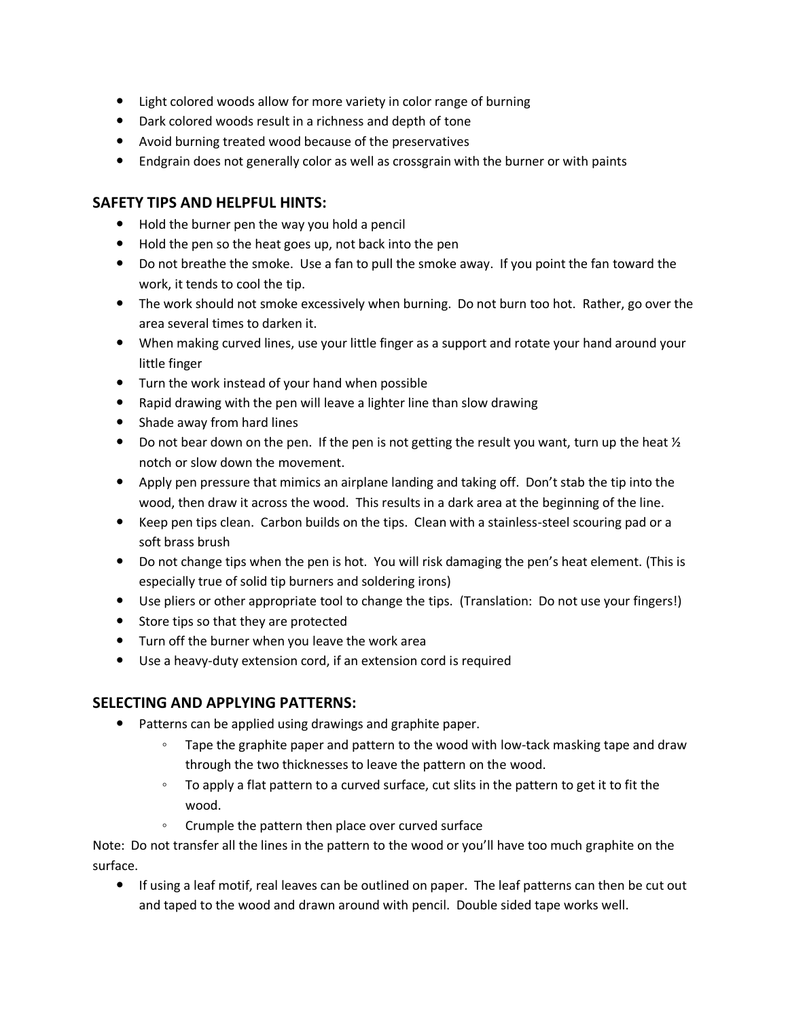- Light colored woods allow for more variety in color range of burning
- Dark colored woods result in a richness and depth of tone
- Avoid burning treated wood because of the preservatives
- Endgrain does not generally color as well as crossgrain with the burner or with paints

### **SAFETY TIPS AND HELPFUL HINTS:**

- Hold the burner pen the way you hold a pencil
- Hold the pen so the heat goes up, not back into the pen
- Do not breathe the smoke. Use a fan to pull the smoke away. If you point the fan toward the work, it tends to cool the tip.
- The work should not smoke excessively when burning. Do not burn too hot. Rather, go over the area several times to darken it.
- When making curved lines, use your little finger as a support and rotate your hand around your little finger
- Turn the work instead of your hand when possible
- Rapid drawing with the pen will leave a lighter line than slow drawing
- Shade away from hard lines
- Do not bear down on the pen. If the pen is not getting the result you want, turn up the heat  $\mathcal{V}_2$ notch or slow down the movement.
- Apply pen pressure that mimics an airplane landing and taking off. Don't stab the tip into the wood, then draw it across the wood. This results in a dark area at the beginning of the line.
- Keep pen tips clean. Carbon builds on the tips. Clean with a stainless-steel scouring pad or a soft brass brush
- Do not change tips when the pen is hot. You will risk damaging the pen's heat element. (This is especially true of solid tip burners and soldering irons)
- Use pliers or other appropriate tool to change the tips. (Translation: Do not use your fingers!)
- Store tips so that they are protected
- Turn off the burner when you leave the work area
- Use a heavy-duty extension cord, if an extension cord is required

### **SELECTING AND APPLYING PATTERNS:**

- Patterns can be applied using drawings and graphite paper.
	- Tape the graphite paper and pattern to the wood with low-tack masking tape and draw through the two thicknesses to leave the pattern on the wood.
	- To apply a flat pattern to a curved surface, cut slits in the pattern to get it to fit the wood.
	- Crumple the pattern then place over curved surface

Note: Do not transfer all the lines in the pattern to the wood or you'll have too much graphite on the surface.

 If using a leaf motif, real leaves can be outlined on paper. The leaf patterns can then be cut out and taped to the wood and drawn around with pencil. Double sided tape works well.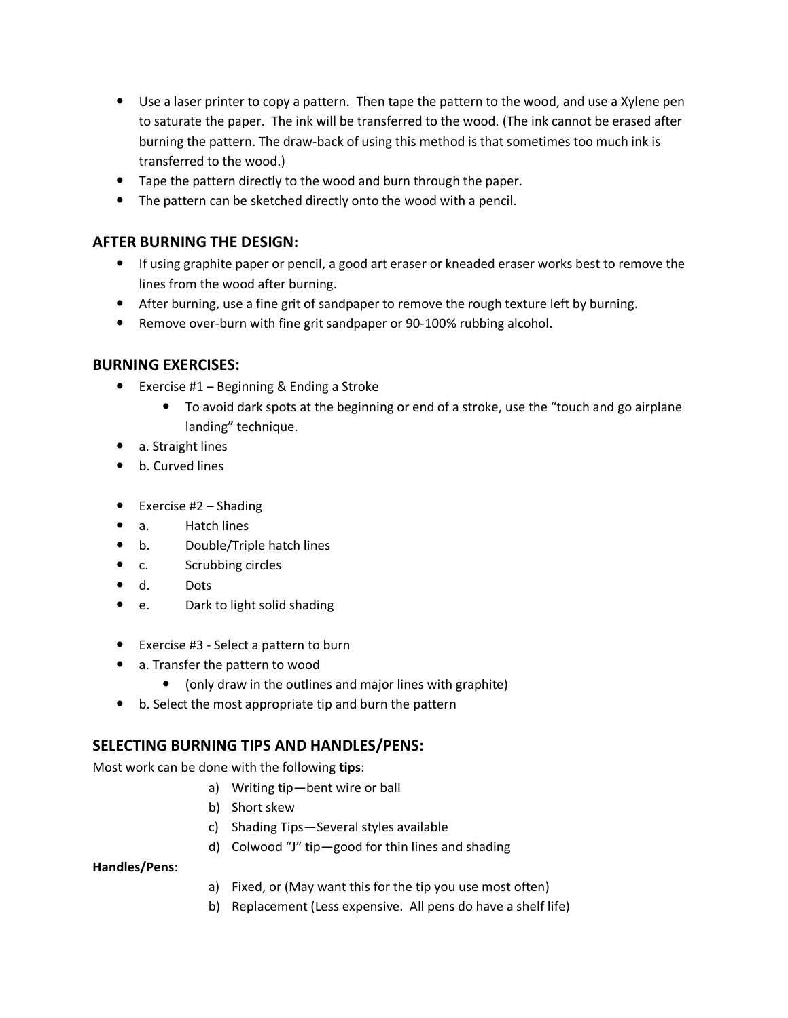- Use a laser printer to copy a pattern. Then tape the pattern to the wood, and use a Xylene pen to saturate the paper. The ink will be transferred to the wood. (The ink cannot be erased after burning the pattern. The draw-back of using this method is that sometimes too much ink is transferred to the wood.)
- Tape the pattern directly to the wood and burn through the paper.
- The pattern can be sketched directly onto the wood with a pencil.

### **AFTER BURNING THE DESIGN:**

- If using graphite paper or pencil, a good art eraser or kneaded eraser works best to remove the lines from the wood after burning.
- After burning, use a fine grit of sandpaper to remove the rough texture left by burning.
- Remove over-burn with fine grit sandpaper or 90-100% rubbing alcohol.

#### **BURNING EXERCISES:**

- Exercise #1 Beginning & Ending a Stroke
	- To avoid dark spots at the beginning or end of a stroke, use the "touch and go airplane landing" technique.
- a. Straight lines
- b. Curved lines
- $\bullet$  Exercise #2 Shading
- a. Hatch lines
- b. Double/Triple hatch lines
- c. Scrubbing circles
- d. Dots
- e. Dark to light solid shading
- Exercise #3 Select a pattern to burn
- a. Transfer the pattern to wood
	- (only draw in the outlines and major lines with graphite)
- b. Select the most appropriate tip and burn the pattern

#### **SELECTING BURNING TIPS AND HANDLES/PENS:**

Most work can be done with the following **tips**:

- a) Writing tip—bent wire or ball
- b) Short skew
- c) Shading Tips—Several styles available
- d) Colwood "J" tip—good for thin lines and shading

#### **Handles/Pens**:

- a) Fixed, or (May want this for the tip you use most often)
- b) Replacement (Less expensive. All pens do have a shelf life)